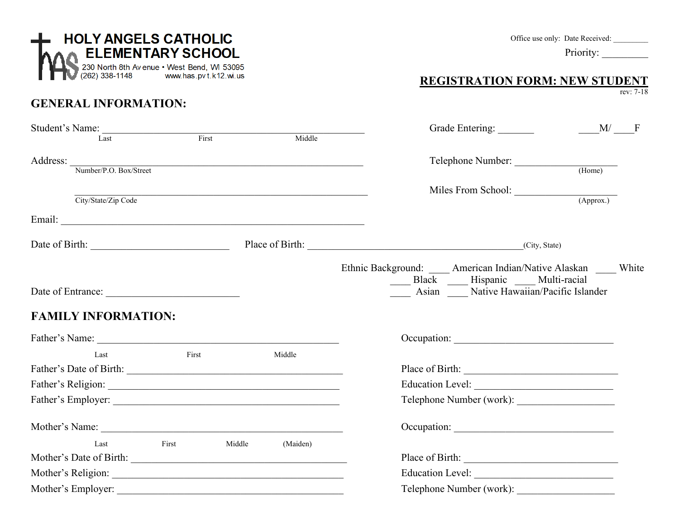| <b>HOLY ANGELS CATHOLIC</b><br>ELEMENTARY SCHOOL<br>230 North 8th Avenue • West Bend, WI 53095<br>(262) 338-1148 www.has.pvt.k12.wi.us                                                                                         |                 |                                                            | <b>REGISTRATION FORM: NEW STUDENT</b>                                                                                                        | Office use only: Date Received:<br>Priority: |  |  |
|--------------------------------------------------------------------------------------------------------------------------------------------------------------------------------------------------------------------------------|-----------------|------------------------------------------------------------|----------------------------------------------------------------------------------------------------------------------------------------------|----------------------------------------------|--|--|
| <b>GENERAL INFORMATION:</b>                                                                                                                                                                                                    |                 |                                                            |                                                                                                                                              | rev: 7-18                                    |  |  |
| Student's Name:<br>Last First                                                                                                                                                                                                  |                 | Middle                                                     |                                                                                                                                              |                                              |  |  |
| Address: Number/P.O. Box/Street                                                                                                                                                                                                |                 |                                                            | Telephone Number: (Home)                                                                                                                     |                                              |  |  |
| City/State/Zip Code                                                                                                                                                                                                            |                 | <u> 1989 - Johann Stoff, amerikansk politiker (* 1908)</u> | Miles From School: (Approx.)                                                                                                                 |                                              |  |  |
|                                                                                                                                                                                                                                |                 |                                                            |                                                                                                                                              |                                              |  |  |
| Date of Birth: City, State) Place of Birth: (City, State)                                                                                                                                                                      |                 |                                                            |                                                                                                                                              |                                              |  |  |
| Date of Entrance:                                                                                                                                                                                                              |                 |                                                            | Ethnic Background: _____ American Indian/Native Alaskan _____ White<br>Black Hispanic Multi-racial<br>Asian Mative Hawaiian/Pacific Islander |                                              |  |  |
| <b>FAMILY INFORMATION:</b>                                                                                                                                                                                                     |                 |                                                            |                                                                                                                                              |                                              |  |  |
|                                                                                                                                                                                                                                |                 |                                                            |                                                                                                                                              |                                              |  |  |
| Last                                                                                                                                                                                                                           | First           | Middle                                                     |                                                                                                                                              |                                              |  |  |
|                                                                                                                                                                                                                                |                 |                                                            |                                                                                                                                              |                                              |  |  |
|                                                                                                                                                                                                                                |                 |                                                            | Telephone Number (work):                                                                                                                     |                                              |  |  |
| Mother's Name: The Contract of the Contract of the Contract of the Contract of the Contract of the Contract of the Contract of the Contract of the Contract of the Contract of the Contract of the Contract of the Contract of |                 |                                                            | Occupation:                                                                                                                                  |                                              |  |  |
| Last                                                                                                                                                                                                                           | First<br>Middle | (Maiden)                                                   |                                                                                                                                              |                                              |  |  |
| Mother's Date of Birth:                                                                                                                                                                                                        |                 |                                                            |                                                                                                                                              |                                              |  |  |
|                                                                                                                                                                                                                                |                 |                                                            |                                                                                                                                              |                                              |  |  |
|                                                                                                                                                                                                                                |                 |                                                            | Telephone Number (work):                                                                                                                     |                                              |  |  |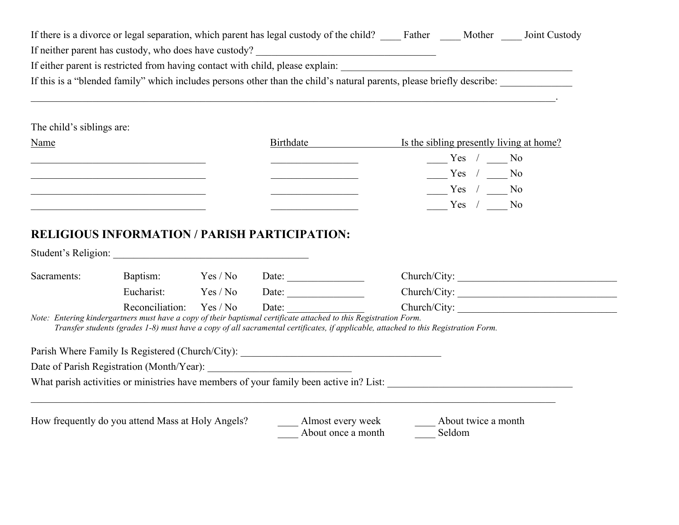| If there is a divorce or legal separation, which parent has legal custody of the child?<br>Mother<br>Father           | Joint Custody |
|-----------------------------------------------------------------------------------------------------------------------|---------------|
| If neither parent has custody, who does have custody?                                                                 |               |
| If either parent is restricted from having contact with child, please explain:                                        |               |
| If this is a "blended family" which includes persons other than the child's natural parents, please briefly describe: |               |

#### The child's siblings are:

| <b>Name</b> | Birthdate | Is the sibling presently living at home? |
|-------------|-----------|------------------------------------------|
|             |           | Yes<br>No                                |
|             |           | Yes<br>No                                |
|             |           | Yes<br>No                                |
|             |           | Yes<br>No                                |

\_\_\_\_\_\_\_\_\_\_\_\_\_\_\_\_\_\_\_\_\_\_\_\_\_\_\_\_\_\_\_\_\_\_\_\_\_\_\_\_\_\_\_\_\_\_\_\_\_\_\_\_\_\_\_\_\_\_\_\_\_\_\_\_\_\_\_\_\_\_\_\_\_\_\_\_\_\_\_\_\_\_\_\_\_\_\_\_\_\_\_\_\_\_\_\_\_\_\_\_\_\_.

#### **RELIGIOUS INFORMATION / PARISH PARTICIPATION:**

| Student's Religion:                                                                                               |                 |          |       |                                         |                                                                                                                                     |  |
|-------------------------------------------------------------------------------------------------------------------|-----------------|----------|-------|-----------------------------------------|-------------------------------------------------------------------------------------------------------------------------------------|--|
| Sacraments:                                                                                                       | Baptism:        | Yes / No | Date: |                                         | Church/City:                                                                                                                        |  |
|                                                                                                                   | Eucharist:      | Yes / No | Date: |                                         | Church/City:                                                                                                                        |  |
| Note: Entering kindergartners must have a copy of their baptismal certificate attached to this Registration Form. | Reconciliation: | Yes / No | Date: |                                         | Church/City:                                                                                                                        |  |
|                                                                                                                   |                 |          |       |                                         | Transfer students (grades 1-8) must have a copy of all sacramental certificates, if applicable, attached to this Registration Form. |  |
| Parish Where Family Is Registered (Church/City):                                                                  |                 |          |       |                                         |                                                                                                                                     |  |
| Date of Parish Registration (Month/Year):                                                                         |                 |          |       |                                         |                                                                                                                                     |  |
| What parish activities or ministries have members of your family been active in? List:                            |                 |          |       |                                         |                                                                                                                                     |  |
| How frequently do you attend Mass at Holy Angels?                                                                 |                 |          |       | Almost every week<br>About once a month | About twice a month<br>Seldom                                                                                                       |  |